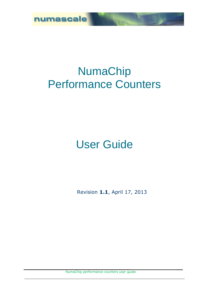

# NumaChip Performance Counters

# User Guide

Revision **1.1**, April 17, 2013

NumaChip performance counters user guide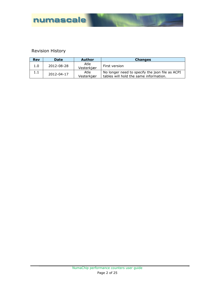

### Revision History

| <b>Rev</b> | <b>Date</b> | <b>Author</b>      | <b>Changes</b>                                                                            |
|------------|-------------|--------------------|-------------------------------------------------------------------------------------------|
| 1.0        | 2012-08-28  | Atle<br>Vesterkjær | First version                                                                             |
|            | 2012-04-17  | Atle<br>Vesterkjær | No longer need to specify the json file as ACPI<br>tables will hold the same information. |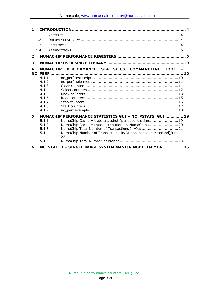| 1.             |                 |                                                                          |  |
|----------------|-----------------|--------------------------------------------------------------------------|--|
|                | 1.1             |                                                                          |  |
|                | 1.2             |                                                                          |  |
|                | 1.3             |                                                                          |  |
|                | 1.4             |                                                                          |  |
|                |                 |                                                                          |  |
| $\overline{2}$ |                 |                                                                          |  |
| 3              |                 |                                                                          |  |
| 4              | <b>NUMACHIP</b> | PERFORMANCE STATISTICS COMMANDLINE TOOL -                                |  |
|                | 4.1.1           |                                                                          |  |
|                | 4.1.2           |                                                                          |  |
|                | 4.1.3           |                                                                          |  |
|                | 4.1.4           |                                                                          |  |
|                | 4.1.5           |                                                                          |  |
|                | 4.1.6           |                                                                          |  |
|                | 4.1.7           |                                                                          |  |
|                | 4.1.8           |                                                                          |  |
|                | 4.1.9           |                                                                          |  |
| 5              |                 | NUMACHIP PERFORMANCE STATISTICS GUI - NC_PSTATS_GUI  19                  |  |
|                | 5.1.1           | NumaChip Cache Hitrate snapshot (per second)/time 19                     |  |
|                | 5.1.2           | NumaChip Cache Hitrate distribution pr. NumaChip 20                      |  |
|                | 5.1.3           | NumaChip Total Number of Transactions In/Out21                           |  |
|                | 5.1.4           | NumaChip Number of Transactions In/Out snapshot (per second)/time.<br>22 |  |
|                | 5.1.5           |                                                                          |  |
| 6              |                 | NC_STAT_D - SINGLE IMAGE SYSTEM MASTER NODE DAEMON 25                    |  |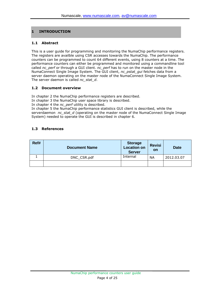#### **1 INTRODUCTION**

#### **1.1 Abstract**

This is a user guide for programming and monitoring the NumaChip performance registers. The registers are availble using CSR accesses towards the NumaChip. The performance counters can be programmed to count 64 different events, using 8 counters at a time. The performance counters can either be programmed and monitored using a commandline tool called *nc\_perf* or through a GUI client. *nc\_perf* has to run on the master node in the NumaConnect Single Image System. The GUI client, *nc\_pstat\_gui* fetches data from a server daemon operating on the master node of the NumaConnect Single Image System. The server daemon is called *nc\_stat\_d*.

#### **1.2 Document overview**

In chapter [2](#page-5-0) the NumaChip performance registers are described.

In chapter [3](#page-8-0) the NumaChip user space library is described.

In chapter [4](#page-9-0) the *nc\_perf* utility is described.

In chapter [5](#page-18-0) the NumaChip performance statistics GUI client is described, while the serverdaemon *nc\_stat\_d* (operating on the master node of the NumaConnect Single Image System) needed to operate the GUI is described in chapter [6.](#page-24-0)

#### **1.3 References**

| Ref# | <b>Document Name</b> | <b>Storage</b><br>Location on<br><b>Server</b> | <b>Revisi</b><br>on | <b>Date</b> |
|------|----------------------|------------------------------------------------|---------------------|-------------|
|      | DNC_CSR.pdf          | Internal                                       | <b>NA</b>           | 2012.03.07  |
|      |                      |                                                |                     |             |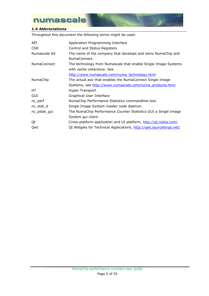#### **1.4 Abbreviations**

Throughout this document the following terms might be used:

| API                | Application Programming Interface                                  |
|--------------------|--------------------------------------------------------------------|
| <b>CSR</b>         | Control and Status Registers                                       |
| Numascale AS       | The name of the company that develops and owns NumaChip and        |
|                    | NumaConnect.                                                       |
| <b>NumaConnect</b> | The technology from Numascale that enable Single Image Systems     |
|                    | with cache coherence. See                                          |
|                    | http://www.numascale.com/numa_technology.html                      |
| <b>NumaChip</b>    | The actual asic that enables the NumaConnect Single Image          |
|                    | Systems, see http://www.numascale.com/numa_products.html           |
| HT.                | Hyper Transport                                                    |
| GUI                | Graphical User Interface                                           |
| $nc\_perf$         | NumaChip Performance Statistics commandline tool.                  |
| nc_stat_d          | Single Image System master node daemon                             |
| nc_pstat_gui       | The NumaChip Performance Counter Statistics GUI a Single Image     |
|                    | System gui client.                                                 |
| Qt                 | Cross-platform application and UI platform, http://gt.nokia.com/   |
| Qwt                | Qt Widgets for Technical Applications, http://gwt.sourceforge.net/ |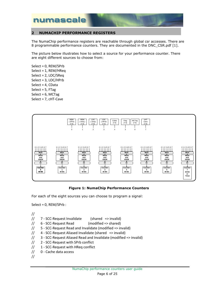

#### <span id="page-5-0"></span>**2 NUMACHIP PERFORMANCE REGISTERS**

The NumaChip performance registers are reachable through global csr accesses. There are 8 programmable performance counters. They are documented in the DNC\_CSR.pdf [1].

The picture below illustrates how to select a source for your performance counter. There are eight different sources to choose from:

Select = 0, REM/SPrb Select = 1, REM/HReq Select = 2, LOC/SReq Select = 3, LOC/HPrb Select = 4, CData Select = 5, FTag Select =  $6$ , MCTag Select = 7, cHT-Cave



#### **Figure 1: NumaChip Performance Counters**

For each of the eight sources you can choose to program a signal:

Select = 0, REM/SPrb :

// // 7 - SCC-Request Invalidate (shared => invalid)

- // 6 SCC-Request Read (modified => shared)
- // 5 SCC-Request Read and Invalidate (modified => invalid)
- // 4 SCC-Request Aliased Invalidate (shared => invalid)
- // 3 SCC-Request Aliased Read and Invalidate (modified => invalid)
- // 2 SCC-Request with SPrb conflict
- // 1 SCC-Request with HReq conflict
- // 0 Cache data access
- //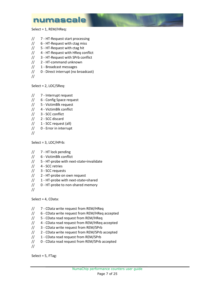Select = 1, REM/HReq:

- // 7 HT-Request start processing
- // 6 HT-Request with ctag miss
- // 5 HT-Request with ctag hit
- // 4 HT-Request with HReq conflict
- // 3 HT-Request with SPrb conflict
- // 2 HT-command unknown
- // 1 Broadcast messages
- // 0 Direct interrupt (no broadcast)
- //

Select = 2, LOC/SReq:

- // 7 Interrupt request
- // 6 Config Space request
- // 5 VictimBlk request
- // 4 VictimBlk conflict
- // 3 SCC conflict
- // 2 SCC discard
- // 1 SCC request (all)
- // 0 Error in interrupt
- //

Select = 3, LOC/HPrb:

- // 7 HT lock pending
- // 6 VictimBlk conflict
- // 5 HT-probe with next-state=invalidate
- // 4 SCC retries
- // 3 SCC requests
- // 2 HT-probe on own request
- // 1 HT-probe with next-state=shared
- // 0 HT-probe to non-shared memory
- //

Select = 4, CData:

- // 7 CData write request from REM/HReq
- // 6 CData write request from REM/HReq accepted
- // 5 CData read request from REM/HReq
- // 4 CData read request from REM/HReq accepted
- // 3 CData write request from REM/SPrb
- // 2 CData write request from REM/SPrb accepted
- // 1 CData read request from REM/SPrb
- // 0 CData read request from REM/SPrb accepted
- //

Select = 5, FTag: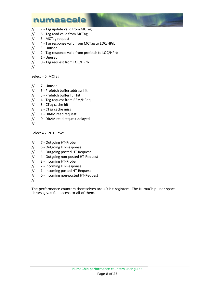- // 7 Tag update valid from MCTag
- // 6 Tag read valid from MCTag
- // 5 MCTag request
- // 4 Tag response valid from MCTag to LOC/HPrb
- // 3 Unused
- // 2 Tag response valid from prefetch to LOC/HPrb
- // 1 Unused
- // 0 Tag request from LOC/HPrb
- //

Select = 6, MCTag:

- // 7 Unused
- // 6 Prefetch buffer address hit
- // 5 Prefetch buffer full hit
- // 4 Tag request from REM/HReq
- // 3 CTag cache hit
- // 2 CTag cache miss
- // 1 DRAM read request
- // 0 DRAM read request delayed
- //

Select = 7, cHT-Cave:

- // 7 Outgoing HT-Probe
- // 6 Outgoing HT-Response
- // 5 Outgoing posted HT-Request
- // 4 Outgoing non-posted HT-Request
- // 3 Incoming HT-Probe
- // 2 Incoming HT-Response
- // 1 Incoming posted HT-Request
- // 0 Incoming non-posted HT-Request
- //

The performance counters themselves are 40-bit registers. The NumaChip user space library gives full access to all of them.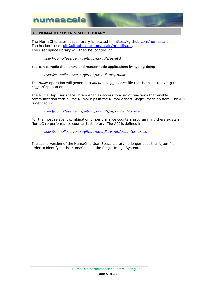#### <span id="page-8-0"></span>**3 NUMACHIP USER SPACE LIBRARY**

The NumaChip user space library is located in\_<https://github.com/numascale> To checkout use: [git@github.com:numascale/nc-utils.git.](mailto:git@github.com:numascale/nc-utils.git) The user space library will then be located in:

*user@compileserver:~/github/nc-utils/os/lib\$*

You can compile the library and master node applications by typing doing:

*user@compileserver:~/github/nc-utils/os\$ make*

The *make* operation will generate a *libnumachip\_user.so* file that is linked to by e.g the *nc\_perf* application.

The NumaChip user space library enables access to a set of functions that enable communication with all the NumaChips in the NumaConnect Single Image System. The API is defined in:

*[user@compileserver:~/github/nc-utils/os/numanhip\\_user.h](mailto:av@nymeria:~/github/nc-utils/os/numanhip_user.h)*

For the most relevent combination of performance counters programming there exists a NumaChip performance counter test library. The API is defined in:

*[user@compileserver:~/github/nc-utils/os/lib/pcounter\\_test.h](mailto:av@nymeria:~/github/nc-utils/os/lib/pcounter_test.h)*

The seond version of the NumaChip User Space Library no longer uses the \*.json file in order to identify all the NumaChips in the Single Image System.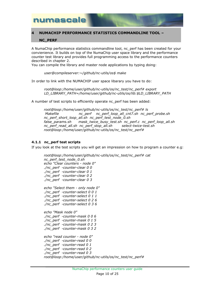#### <span id="page-9-0"></span>**4 NUMACHIP PERFORMANCE STATISTICS COMMANDLINE TOOL –**

#### **NC\_PERF**

A NumaChip performance statistics commandline tool, nc\_perf has been created for your convienience. It builds on top of the NumaChip user space library and the performance counter test library and provides full programming access to the performance counters described in chapter [2.](#page-5-0)

You can compile the library and master node applications by typing doing:

*user@compileserver:~/github/nc-utils/os\$ make*

In order to link with the NUMACHIP user space libarary you have to do:

*root@loop:/home/user/github/nc-utils/os/nc\_test/nc\_perf# export LD\_LIBRARY\_PATH=/home/user/github/nc-utils/os/lib:\$LD\_LIBRARY\_PATH*

A number of test scripts to efficiently operate nc perf has been added:

*root@loop:/home/user/github/nc-utils/os/nc\_test/nc\_perf# ls Makefile nc\_perf nc\_perf\_loop\_all\_cnt7.sh nc\_perf\_probe.sh nc\_perf\_short\_loop\_all.sh nc\_perf\_test\_node\_0.sh false\_params.sh mask\_twice\_busy\_test.sh nc\_perf.c nc\_perf\_loop\_all.sh nc\_perf\_read\_all.sh nc\_perf\_stop\_all.sh select-twice-test.sh root@loop:/home/user/github/nc-utils/os/nc\_test/nc\_perf#*

#### **4.1.1 nc\_perf test scripts**

If you look at the test scripts you will get an impression on how to program a counter e.g:

```
root@loop:/home/user/github/nc-utils/os/nc_test/nc_perf# cat 
nc_perf_test_node_0.sh
echo "Clear counters - node 0"
./nc_perf -counter-clear 0 0
./nc_perf -counter-clear 0 1
./nc_perf -counter-clear 0 2
./nc_perf -counter-clear 0 3
echo "Select them - only node 0"
./nc_perf -counter-select 0 0 1
./nc_perf -counter-select 0 1 1
./nc_perf -counter-select 0 2 6
./nc_perf -counter-select 0 3 6
echo "Mask node 0"
./nc_perf -counter-mask 0 0 6
./nc_perf -counter-mask 0 1 5
./nc_perf -counter-mask 0 2 3
./nc_perf -counter-mask 0 3 2
echo "read counter - node 0"
./nc_perf -counter-read 0 0
./nc_perf -counter-read 0 1
./nc_perf -counter-read 0 2
./nc_perf -counter-read 0 3
root@loop:/home/user/github/nc-utils/os/nc_test/nc_perf#
```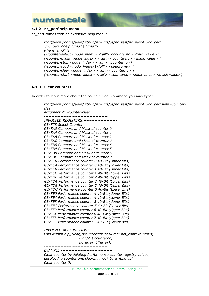

#### **4.1.2 nc\_perf help menu**

nc\_perf comes with an extensive help menu:

```
root@loop:/home/user/github/nc-utils/os/nc_test/nc_perf# ./nc_perf
./nc_perf <help "cmd" | "cmd">
where "cmd" is:
[-counter-select <node_index>|<'all'> <counterno> <mux value>]
[-counter-mask <node_index>|<'all'> <counterno> <mask value> ]
[-counter-stop <node_index>|<'all'> <counterno>]
[-counter-read <node_index>|<'all'> <counterno> ]
[-counter-clear <node_index>|<'all'> <counterno> ]
[-counter-start <node_index>|<'all'> <counterno> <mux value> <mask value>]
```
#### **4.1.3 Clear counters**

In order to learn more about the *counter-clear* command you may type:

*root@loop:/home/user/github/nc-utils/os/nc\_test/nc\_perf# ./nc\_perf help -counterclear Argument 2: -counter-clear ------------------------------------------ INVOLVED REGISTERS:---------------------- G3xF78 Select Counter G3xFA0 Compare and Mask of counter 0 G3xFA4 Compare and Mask of counter 1 G3xFA8 Compare and Mask of counter 2 G3xFAC Compare and Mask of counter 3 G3xFB0 Compare and Mask of counter 4 G3xFB4 Compare and Mask of counter 5 G3xFB8 Compare and Mask of counter 6 G3xFBC Compare and Mask of counter 7 G3xFC0 Performance counter 0 40-Bit (Upper Bits) G3xFC4 Performance counter 0 40-Bit (Lower Bits) G3xFC8 Performance counter 1 40-Bit (Upper Bits) G3xFCC Performance counter 1 40-Bit (Lower Bits) G3xFD0 Performance counter 2 40-Bit (Upper Bits) G3xFD4 Performance counter 2 40-Bit (Lower Bits) G3xFD8 Performance counter 3 40-Bit (Upper Bits) G3xFDC Performance counter 3 40-Bit (Lower Bits) G3xFE0 Performance counter 4 40-Bit (Upper Bits) G3xFE4 Performance counter 4 40-Bit (Lower Bits) G3xFE8 Performance counter 5 40-Bit (Upper Bits) G3xFEC Performance counter 5 40-Bit (Lower Bits) G3xFF0 Performance counter 6 40-Bit (Upper Bits) G3xFF4 Performance counter 6 40-Bit (Lower Bits) G3xFF8 Performance counter 7 40-Bit (Upper Bits) G3xFFC Performance counter 7 40-Bit (Lower Bits) ------------------------------------------ INVOLVED API FUNCTION:------------------- void NumaChip\_clear\_pcounter(struct NumaChip\_context \*cntxt, uint32\_t counterno, nc\_error\_t \*error); ------------------------------------------ EXAMPLE:---------------------------------- Clear counter by deleting Performance counter registry values, deselecting counter and clearing mask by writing api. Clear counter 0:*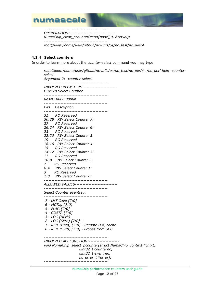

*------------------------------------------*

*OPERERATION:------------------------------ NumaChip\_clear\_pcounter(cntxt[node],0, &retval); ------------------------------------------*

*root@loop:/home/user/github/nc-utils/os/nc\_test/nc\_perf#*

#### **4.1.4 Select counters**

In order to learn more about the *counter-select* command you may type:

*root@loop:/home/user/github/nc-utils/os/nc\_test/nc\_perf# ./nc\_perf help -counterselect Argument 2: -counter-select ------------------------------------------ INVOLVED REGISTERS:---------------------- G3xF78 Select Counter ------------------------------------------ Reset: 0000 0000h ------------------------------------------ Bits Description ------------------------------------------ 31 RO Reserved 30:28 RW Select Counter 7: 27 RO Reserved 26:24 RW Select Counter 6: 23 RO Reserved 22:20 RW Select Counter 5: 19 RO Reserved 18:16 RW Select Counter 4: 15 RO Reserved 14:12 RW Select Counter 3: 11 RO Reserved 10:8 RW Select Counter 2: 7 RO Reserved 6:4 RW Select Counter 1: 3 RO Reserved 2:0 RW Select Counter 0: ------------------------------------------ ALLOWED VALUES---------------------------- ------------------------------------------ Select Counter eventreg: ------------------------------------------ 7 - cHT Cave [7:0] 6 - MCTag [7:0] 5 - FLAG [7:0] 4 - CDATA [7:0] 3 - LOC (HPrb) 2 - LOC (SPrb) [7:0] - 1 - REM (Hreq) [7:0] - Remote (L4) cache 0 - REM (SPrb) [7:0] - Probes from SCC ------------------------------------------ INVOLVED API FUNCTION:------------------- void NumaChip\_select\_pcounter(struct NumaChip\_context \*cntxt, uint32\_t counterno, uint32\_t eventreg, nc\_error\_t \*error); ------------------------------------------*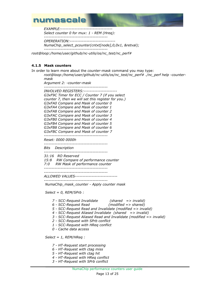

*EXAMPLE:----------------------------------*

*Select counter 0 for mux: 1 - REM (Hreq):*

*------------------------------------------ OPERERATION:------------------------------*

*NumaChip\_select\_pcounter(cntxt[node],0,0x1, &retval);*

*------------------------------------------*

*root@loop:/home/user/github/nc-utils/os/nc\_test/nc\_perf#*

#### **4.1.5 Mask counters**

In order to learn more about the *counter-mask* command you may type:

*root@loop:/home/user/github/nc-utils/os/nc\_test/nc\_perf# ./nc\_perf help -countermask Argument 2: -counter-mask ------------------------------------------ INVOLVED REGISTERS:---------------------- G3xF9C Timer for ECC / Counter 7 (if you select counter 7, then we will set this register for you.) G3xFA0 Compare and Mask of counter 0 G3xFA4 Compare and Mask of counter 1 G3xFA8 Compare and Mask of counter 2 G3xFAC Compare and Mask of counter 3 G3xFB0 Compare and Mask of counter 4 G3xFB4 Compare and Mask of counter 5 G3xFB8 Compare and Mask of counter 6 G3xFBC Compare and Mask of counter 7 ------------------------------------------ Reset: 0000 0000h ------------------------------------------ Bits Description ------------------------------------------ 31:16 RO Reserved 15:8 RW Compare of performance counter 7:0 RW Mask of performance counter ------------------------------------------ ------------------------------------------ ALLOWED VALUES---------------------------- ------------------------------------------ NumaChip\_mask\_counter - Apply counter mask*

*Select = 0, REM/SPrb :*

- *7 - SCC-Request Invalidate (shared => invalid)*
- *6 - SCC-Request Read (modified => shared)*
	- *5 - SCC-Request Read and Invalidate (modified => invalid)*
	- *4 - SCC-Request Aliased Invalidate (shared => invalid)*
	- *3 - SCC-Request Aliased Read and Invalidate (modified => invalid)*
	- *2 - SCC-Request with SPrb conflict*
	- *1 - SCC-Request with HReq conflict*
	- *0 - Cache data access*

*Select = 1, REM/HReq :*

- *7 - HT-Request start processing*
- *6 - HT-Request with ctag miss*
- *5 - HT-Request with ctag hit*
- *4 - HT-Request with HReq conflict*
- *3 - HT-Request with SPrb conflict*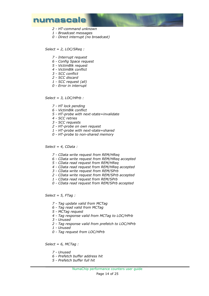- *2 - HT-command unknown*
- *1 - Broadcast messages*
- *0 - Direct interrupt (no broadcast)*

*Select = 2, LOC/SReq :*

- *7 - Interrupt request*
- *6 - Config Space request*
- *5 - VictimBlk request*
- *4 - VictimBlk conflict*
- *3 - SCC conflict*
- *2 - SCC discard*
- *1 - SCC request (all)*
- *0 - Error in interrupt*

*Select = 3, LOC/HPrb :*

- *7 - HT lock pending*
- *6 - VictimBlk conflict*
- *5 - HT-probe with next-state=invalidate*
- *4 - SCC retries*
- *3 - SCC requests*
- *2 - HT-probe on own request*
- *1 - HT-probe with next-state=shared*
- *0 - HT-probe to non-shared memory*

*Select = 4, CData :*

- *7 - CData write request from REM/HReq*
- *6 - CData write request from REM/HReq accepted*
- *5 - CData read request from REM/HReq*
- *4 - CData read request from REM/HReq accepted*
- *3 - CData write request from REM/SPrb*
- *2 - CData write request from REM/SPrb accepted*
- *1 - CData read request from REM/SPrb*
- *0 - CData read request from REM/SPrb accepted*

*Select = 5, FTag :*

- *7 - Tag update valid from MCTag*
- *6 - Tag read valid from MCTag*
- *5 - MCTag request*
- *4 - Tag response valid from MCTag to LOC/HPrb*
- *3 - Unused*
- *2 - Tag response valid from prefetch to LOC/HPrb*
- *1 - Unused*
- *0 - Tag request from LOC/HPrb*

*Select = 6, MCTag :*

- *7 - Unused*
- *6 - Prefetch buffer address hit*
- *5 - Prefetch buffer full hit*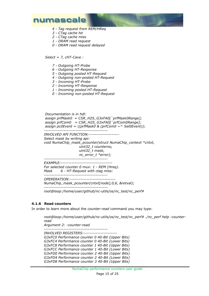

- *4 - Tag request from REM/HReq*
- *3 - CTag cache hit*
- *2 - CTag cache miss*
- *1 - DRAM read request*
- *0 - DRAM read request delayed*

*Select = 7, cHT-Cave :*

- *7 - Outgoing HT-Probe*
- *6 - Outgoing HT-Response*
- *5 - Outgoing posted HT-Request*
- *4 - Outgoing non-posted HT-Request*
- *3 - Incoming HT-Probe*
- *2 - Incoming HT-Response*
- *1 - Incoming posted HT-Request*
- *0 - Incoming non-posted HT-Request*

*Documentation is in hdl: assign prfMask0 = CSR\_H2S\_G3xFA0[`prfMask0Range]; assign prfCom0 = CSR\_H2S\_G3xFA0[`prfCom0Range]; assign pc0Event = |(prfMask0 & (prfCom0 ~^ Sel0Event)); ------------------------------------------ INVOLVED API FUNCTION:-------------------- Select mask by writing api: void NumaChip\_mask\_pcounter(struct NumaChip\_context \*cntxt, uint32\_t counterno, uint32\_t mask, nc\_error\_t \*error); ------------------------------------------ EXAMPLE:---------------------------------- For selected counter 0 mux: 1 - REM (Hreq). Mask 6 - HT-Request with ctag miss: ------------------------------------------ OPERERATION:------------------------------ NumaChip\_mask\_pcounter(cntxt[node],0,6, &retval); ----------------------------------------- root@loop:/home/user/github/nc-utils/os/nc\_test/nc\_perf#*

#### **4.1.6 Read counters**

In order to learn more about the *counter-read* command you may type:

*root@loop:/home/user/github/nc-utils/os/nc\_test/nc\_perf# ./nc\_perf help -counterread Argument 2: -counter-read ------------------------------------------ INVOLVED REGISTERS:---------------------- G3xFC0 Performance counter 0 40-Bit (Upper Bits) G3xFC4 Performance counter 0 40-Bit (Lower Bits) G3xFC8 Performance counter 1 40-Bit (Upper Bits) G3xFCC Performance counter 1 40-Bit (Lower Bits) G3xFD0 Performance counter 2 40-Bit (Upper Bits) G3xFD4 Performance counter 2 40-Bit (Lower Bits) G3xFD8 Performance counter 3 40-Bit (Upper Bits)*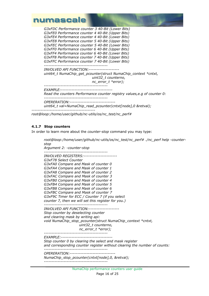

| G3xFDC Performance counter 3 40-Bit (Lower Bits)<br>G3xFE0 Performance counter 4 40-Bit (Upper Bits)<br>G3xFE4 Performance counter 4 40-Bit (Lower Bits)<br>G3xFE8 Performance counter 5 40-Bit (Upper Bits)<br>G3xFEC Performance counter 5 40-Bit (Lower Bits)<br>G3xFF0 Performance counter 6 40-Bit (Upper Bits)<br>G3xFF4 Performance counter 6 40-Bit (Lower Bits)<br>G3xFF8 Performance counter 7 40-Bit (Upper Bits)<br>G3xFFC Performance counter 7 40-Bit (Lower Bits) |
|----------------------------------------------------------------------------------------------------------------------------------------------------------------------------------------------------------------------------------------------------------------------------------------------------------------------------------------------------------------------------------------------------------------------------------------------------------------------------------|
| ---------------------------<br><i>INVOLVED API FUNCTION:--------------------</i><br>uint64_t NumaChip_get_pcounter(struct NumaChip_context *cntxt,<br>uint32_t counterno,<br>$nc_error_t *error);$<br>--------------------------                                                                                                                                                                                                                                                 |
| <i>EXAMPLE:-----------------------------</i><br>Read the counters Performance counter registry values, e.g of counter 0:                                                                                                                                                                                                                                                                                                                                                         |
| OPERERATION:-----------------------------<br>uint64_t val=NumaChip_read_pcounter(cntxt[node],0 &retval);                                                                                                                                                                                                                                                                                                                                                                         |

*root@loop:/home/user/github/nc-utils/os/nc\_test/nc\_perf#*

#### **4.1.7 Stop counters**

In order to learn more about the *counter-stop* command you may type:

*root@loop:/home/user/github/nc-utils/os/nc\_test/nc\_perf# ./nc\_perf help -counterstop Argument 2: -counter-stop ------------------------------------------ INVOLVED REGISTERS:---------------------- G3xF78 Select Counter G3xFA0 Compare and Mask of counter 0 G3xFA4 Compare and Mask of counter 1 G3xFA8 Compare and Mask of counter 2 G3xFAC Compare and Mask of counter 3 G3xFB0 Compare and Mask of counter 4 G3xFB4 Compare and Mask of counter 5 G3xFB8 Compare and Mask of counter 6 G3xFBC Compare and Mask of counter 7 G3xF9C Timer for ECC / Counter 7 (if you select counter 7, then we will set this register for you.) ------------------------------------------ INVOLVED API FUNCTION:-------------------- Stop counter by deselecting counter and clearing mask by writing api: void NumaChip\_stop\_pcounter(struct NumaChip\_context \*cntxt, uint32\_t counterno, nc\_error\_t \*error); ------------------------------------------ EXAMPLE:---------------------------------- Stop counter 0 by clearing the select and mask register and corresponding counter register without clearing the number of counts: ------------------------------------------ OPERERATION:------------------------------ NumaChip\_stop\_pcounter(cntxt[node],0, &retval); ------------------------------------------*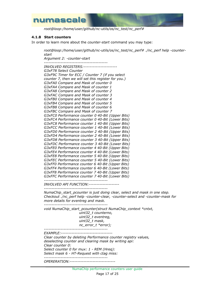

*root@loop:/home/user/github/nc-utils/os/nc\_test/nc\_perf#*

#### **4.1.8 Start counters**

In order to learn more about the *counter-start* command you may type:

*root@loop:/home/user/github/nc-utils/os/nc\_test/nc\_perf# ./nc\_perf help -counterstart Argument 2: -counter-start ------------------------------------------ INVOLVED REGISTERS:---------------------- G3xF78 Select Counter G3xF9C Timer for ECC / Counter 7 (if you select counter 7, then we will set this register for you.) G3xFA0 Compare and Mask of counter 0 G3xFA4 Compare and Mask of counter 1 G3xFA8 Compare and Mask of counter 2 G3xFAC Compare and Mask of counter 3 G3xFB0 Compare and Mask of counter 4 G3xFB4 Compare and Mask of counter 5 G3xFB8 Compare and Mask of counter 6 G3xFBC Compare and Mask of counter 7 G3xFC0 Performance counter 0 40-Bit (Upper Bits) G3xFC4 Performance counter 0 40-Bit (Lower Bits) G3xFC8 Performance counter 1 40-Bit (Upper Bits) G3xFCC Performance counter 1 40-Bit (Lower Bits) G3xFD0 Performance counter 2 40-Bit (Upper Bits) G3xFD4 Performance counter 2 40-Bit (Lower Bits) G3xFD8 Performance counter 3 40-Bit (Upper Bits) G3xFDC Performance counter 3 40-Bit (Lower Bits) G3xFE0 Performance counter 4 40-Bit (Upper Bits) G3xFE4 Performance counter 4 40-Bit (Lower Bits) G3xFE8 Performance counter 5 40-Bit (Upper Bits) G3xFEC Performance counter 5 40-Bit (Lower Bits) G3xFF0 Performance counter 6 40-Bit (Upper Bits) G3xFF4 Performance counter 6 40-Bit (Lower Bits) G3xFF8 Performance counter 7 40-Bit (Upper Bits) G3xFFC Performance counter 7 40-Bit (Lower Bits) ------------------------------------------ INVOLVED API FUNCTION:-------------------- ------------------------------------------ NumaChip\_start\_pcounter is just doing clear, select and mask in one step. Checkout ./nc\_perf help -counter-clear, -counter-select and -counter-mask for more details for eventreg and mask. ----------------------------------------- void NumaChip\_start\_pcounter(struct NumaChip\_context \*cntxt, uint32\_t counterno, uint32\_t eventreg, uint32\_t mask, nc\_error\_t \*error); ------------------------------------------ EXAMPLE:---------------------------------- Clear counter by deleting Performance counter registry values, deselecting counter and clearing mask by writing api: Clear counter 0: Select counter 0 for mux: 1 - REM (Hreq): Select mask 6 - HT-Request with ctag miss: ------------------------------------------ OPERERATION:------------------------------*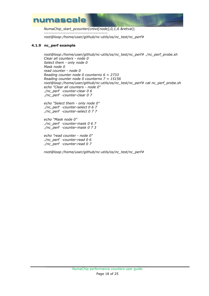

*NumaChip\_start\_pcounter(cntxt[node],0,1,6 &retval); ----------------------------------------- root@loop:/home/user/github/nc-utils/os/nc\_test/nc\_perf#*

#### **4.1.9 nc\_perf example**

*root@loop:/home/user/github/nc-utils/os/nc\_test/nc\_perf# ./nc\_perf\_probe.sh Clear all counters - node 0 Select them - only node 0 Mask node 0 read counter - node 0 Reading counter node 0 counterno 6 = 2733 Reading counter node 0 counterno 7 = 15156 root@loop:/home/user/github/nc-utils/os/nc\_test/nc\_perf# cat nc\_perf\_probe.sh echo "Clear all counters - node 0" ./nc\_perf -counter-clear 0 6 ./nc\_perf -counter-clear 0 7*

*echo "Select them - only node 0" ./nc\_perf -counter-select 0 6 7 ./nc\_perf -counter-select 0 7 7*

*echo "Mask node 0" ./nc\_perf -counter-mask 0 6 7 ./nc\_perf -counter-mask 0 7 3*

*echo "read counter - node 0" ./nc\_perf -counter-read 0 6 ./nc\_perf -counter-read 0 7*

*root@loop:/home/user/github/nc-utils/os/nc\_test/nc\_perf#*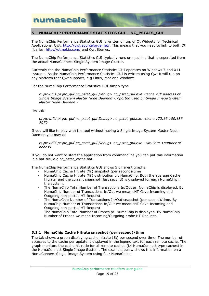

#### <span id="page-18-0"></span>**5 NUMACHIP PERFORMANCE STATISTICS GUI – NC\_PSTATS\_GUI**

The NumaChip Performance Statistics GUI is written on top of Qt Widgets for Technical Applications, Qwt, [http://qwt.sourceforge.net/.](http://qwt.sourceforge.net/) This means that you need to link to both Qt libaries,<http://qt.nokia.com/> and Qwt libaries.

The NumaChip Performance Statistics GUI typically runs on machine that is seperated from the actual NumaConnect Single System Image Cluster.

Currently the the NumaChip Performance Statistics GUI operates on Windows 7 and X11 systems. As the NumaChip Performance Statistics GUI is written using Qwt it will run on any platform that Qwt supports, e.g Linux, Mac and Windows.

For the NumaChip Performance Statistics GUI simply type

*c:\nc-utils\os\nc\_gui\nc\_pstat\_gui\Debug> nc\_pstat\_gui.exe -cache <IP address of Single Image System Master Node Daemon>:<portno used by Single Image System Master Node Daemon>*

like this

*c:\nc-utils\os\nc\_gui\nc\_pstat\_gui\Debug> nc\_pstat\_gui.exe -cache 172.16.100.186 7070*

If you will like to play with the tool without having a Single Image System Master Node Daemon you may do

*c:\nc-utils\os\nc\_gui\nc\_pstat\_gui\Debug> nc\_pstat\_gui.exe –simulate <number of nodes>*

If you do not want to start the application from commandline you can put this information in a bat-file, e.g nc\_pstat\_cache.bat.

The NumaChip Performance Statistics GUI shows 5 different graphs:

- NumaChip Cache Hitrate (%) snapshot (per second)/time
- NumaChip Cache Hitrate (%) distribution pr. NumaChip. Both the average Cache Hitrate and the current snapshot (last second) is displayed for each NumaChip in the system.
- The NumaChip Total Number of Transactions In/Out pr. NumaChip is displayed. By NumaChip Number of Transactions In/Out we mean cHT-Cave Incoming and Outgoing non-posted HT-Request
- The NumaChip Number of Transactions In/Out snapshot (per second)/time. By NumaChip Number of Transactions In/Out we mean cHT-Cave Incoming and Outgoing non-posted HT-Request
- The NumaChip Total Number of Probes pr. NumaChip is displayed. By NumaChip Number of Probes we mean Incoming/Outgoing probe HT-Request.

#### **5.1.1 NumaChip Cache Hitrate snapshot (per second)/time**

The tab shows a graph displaying cache hitrate (%) per second over time. The number of accesses to the cache per update is displayed in the legend text for each remote cache. The graph monitors the cache hit ratio for all remote caches (L4 NumaConnect type caches) in the NumaConnect Single Image System. The example below shows this information on a NumaConnect Single Image System using four NumaChips: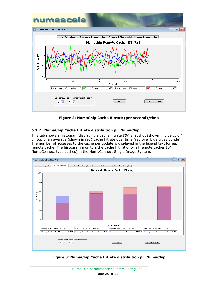

**Figure 2: NumaChip Cache Hitrate (per second)/time**

#### **5.1.2 NumaChip Cache Hitrate distribution pr. NumaChip**

This tab shows a histogram displaying a cache hitrate (%) snapshot (shown in blue color) on top of an average (shown in red) cache hitrate over time (red over blue gives purple). The number of accesses to the cache per update is displayed in the legend text for each remote cache. The histogram monitors the cache hit ratio for all remote caches (L4 NumaConnect type caches) in the NumaConnect Single Image System.



**Figure 3: NumaChip Cache Hitrate distribution pr. NumaChip**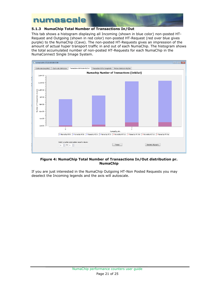

#### **5.1.3 NumaChip Total Number of Transactions In/Out**

This tab shows a histogram displaying all Incoming (shown in blue color) non-posted HT-Request and Outgoing (shown in red color) non-posted HT-Request (red over blue gives purple) to the NumaChip (Cave). The non-posted HT-Requests gives an impression of the amount of actual hyper transport traffic in and out of each NumaChip. The histogram shows the total accumulated number of non-posted HT-Requests for each NumaChip in the NumaConnect Single Image System.



#### **Figure 4: NumaChip Total Number of Transactions In/Out distribution pr. NumaChip**

If you are just interested in the NumaChip Outgoing HT-Non Posted Requests you may deselect the Incoming legends and the axis will autoscale.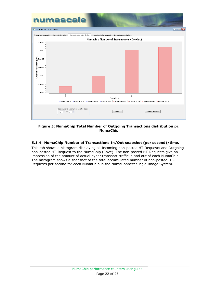

#### **Figure 5: NumaChip Total Number of Outgoing Transactions distribution pr. NumaChip**

#### **5.1.4 NumaChip Number of Transactions In/Out snapshot (per second)/time.**

This tab shows a histogram displaying all Incoming non-posted HT-Requests and Outgoing non-posted HT-Request to the NumaChip (Cave). The non-posted HT-Requests give an impression of the amount of actual hyper transport traffic in and out of each NumaChip. The histogram shows a snapshot of the total accumulated number of non-posted HT-Requests per second for each NumaChip in the NumaConnect Single Image System.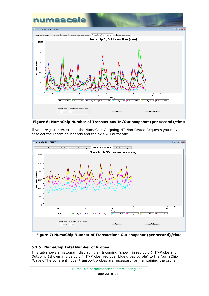

**Figure 6: NumaChip Number of Transactions In/Out snapshot (per second)/time** 



If you are just interested in the NumaChip Outgoing HT-Non Posted Requests you may deselect the Incoming legends and the axis will autoscale.

**Figure 7: NumaChip Number of Transactions Out snapshot (per second)/time** 

#### **5.1.5 NumaChip Total Number of Probes**

This tab shows a histogram displaying all Incoming (shown in red color) HT-Probe and Outgoing (shown in blue color) HT-Probe (red over blue gives purple) to the NumaChip (Cave). The coherent hyper transport probes are necessary for maintaining the cache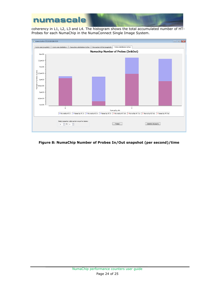

coherency in L1, L2, L3 and L4. The histogram shows the total accumulated number of HT-Probes for each NumaChip in the NumaConnect Single Image System.



#### **Figure 8: NumaChip Number of Probes In/Out snapshot (per second)/time**